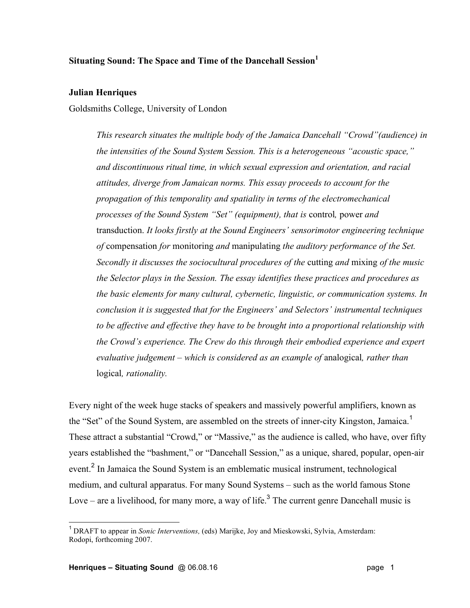# **Situating Sound: The Space and Time of the Dancehall Session<sup>1</sup>**

# **Julian Henriques**

Goldsmiths College, University of London

*This research situates the multiple body of the Jamaica Dancehall "Crowd"(audience) in the intensities of the Sound System Session. This is a heterogeneous "acoustic space," and discontinuous ritual time, in which sexual expression and orientation, and racial attitudes, diverge from Jamaican norms. This essay proceeds to account for the propagation of this temporality and spatiality in terms of the electromechanical processes of the Sound System "Set" (equipment), that is* control*,* power *and*  transduction. *It looks firstly at the Sound Engineers' sensorimotor engineering technique of* compensation *for* monitoring *and* manipulating *the auditory performance of the Set. Secondly it discusses the sociocultural procedures of the* cutting *and* mixing *of the music the Selector plays in the Session. The essay identifies these practices and procedures as the basic elements for many cultural, cybernetic, linguistic, or communication systems. In conclusion it is suggested that for the Engineers' and Selectors' instrumental techniques to be affective and effective they have to be brought into a proportional relationship with the Crowd's experience. The Crew do this through their embodied experience and expert evaluative judgement – which is considered as an example of* analogical*, rather than*  logical*, rationality.*

Every night of the week huge stacks of speakers and massively powerful amplifiers, known as the "Set" of the Sound System, are assembled on the streets of inner-city Kingston, Jamaica.<sup>1</sup> These attract a substantial "Crowd," or "Massive," as the audience is called, who have, over fifty years established the "bashment," or "Dancehall Session," as a unique, shared, popular, open-air event.<sup>2</sup> In Jamaica the Sound System is an emblematic musical instrument, technological medium, and cultural apparatus. For many Sound Systems – such as the world famous Stone Love – are a livelihood, for many more, a way of life.<sup>3</sup> The current genre Dancehall music is

 <sup>1</sup> DRAFT to appear in *Sonic Interventions,* (eds) Marijke, Joy and Mieskowski, Sylvia, Amsterdam: Rodopi, forthcoming 2007.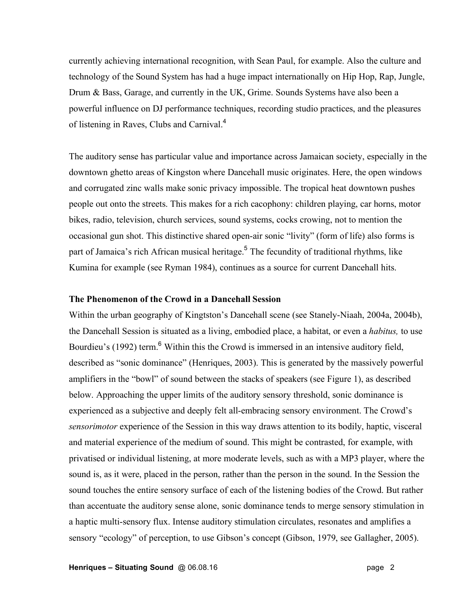currently achieving international recognition, with Sean Paul, for example. Also the culture and technology of the Sound System has had a huge impact internationally on Hip Hop, Rap, Jungle, Drum & Bass, Garage, and currently in the UK, Grime. Sounds Systems have also been a powerful influence on DJ performance techniques, recording studio practices, and the pleasures of listening in Raves, Clubs and Carnival.<sup>4</sup>

The auditory sense has particular value and importance across Jamaican society, especially in the downtown ghetto areas of Kingston where Dancehall music originates. Here, the open windows and corrugated zinc walls make sonic privacy impossible. The tropical heat downtown pushes people out onto the streets. This makes for a rich cacophony: children playing, car horns, motor bikes, radio, television, church services, sound systems, cocks crowing, not to mention the occasional gun shot. This distinctive shared open-air sonic "livity" (form of life) also forms is part of Jamaica's rich African musical heritage.<sup>5</sup> The fecundity of traditional rhythms, like Kumina for example (see Ryman 1984), continues as a source for current Dancehall hits.

# **The Phenomenon of the Crowd in a Dancehall Session**

Within the urban geography of Kingtston's Dancehall scene (see Stanely-Niaah, 2004a, 2004b), the Dancehall Session is situated as a living, embodied place, a habitat, or even a *habitus,* to use Bourdieu's (1992) term.<sup>6</sup> Within this the Crowd is immersed in an intensive auditory field, described as "sonic dominance" (Henriques, 2003). This is generated by the massively powerful amplifiers in the "bowl" of sound between the stacks of speakers (see Figure 1), as described below. Approaching the upper limits of the auditory sensory threshold, sonic dominance is experienced as a subjective and deeply felt all-embracing sensory environment. The Crowd's *sensorimotor* experience of the Session in this way draws attention to its bodily, haptic, visceral and material experience of the medium of sound. This might be contrasted, for example, with privatised or individual listening, at more moderate levels, such as with a MP3 player, where the sound is, as it were, placed in the person, rather than the person in the sound. In the Session the sound touches the entire sensory surface of each of the listening bodies of the Crowd. But rather than accentuate the auditory sense alone, sonic dominance tends to merge sensory stimulation in a haptic multi-sensory flux. Intense auditory stimulation circulates, resonates and amplifies a sensory "ecology" of perception, to use Gibson's concept (Gibson, 1979, see Gallagher, 2005).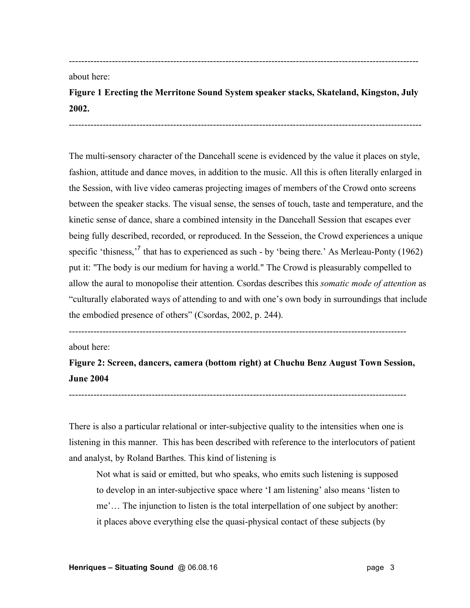------------------------------------------------------------------------------------------------------------------

about here:

**Figure 1 Erecting the Merritone Sound System speaker stacks, Skateland, Kingston, July 2002.**

-------------------------------------------------------------------------------------------------------------------

The multi-sensory character of the Dancehall scene is evidenced by the value it places on style, fashion, attitude and dance moves, in addition to the music. All this is often literally enlarged in the Session, with live video cameras projecting images of members of the Crowd onto screens between the speaker stacks. The visual sense, the senses of touch, taste and temperature, and the kinetic sense of dance, share a combined intensity in the Dancehall Session that escapes ever being fully described, recorded, or reproduced. In the Sesseion, the Crowd experiences a unique specific 'thisness,'<sup>7</sup> that has to experienced as such - by 'being there.' As Merleau-Ponty (1962) put it: "The body is our medium for having a world." The Crowd is pleasurably compelled to allow the aural to monopolise their attention. Csordas describes this *somatic mode of attention* as "culturally elaborated ways of attending to and with one's own body in surroundings that include the embodied presence of others" (Csordas, 2002, p. 244).

--------------------------------------------------------------------------------------------------------------

about here:

**Figure 2: Screen, dancers, camera (bottom right) at Chuchu Benz August Town Session, June 2004**

--------------------------------------------------------------------------------------------------------------

There is also a particular relational or inter-subjective quality to the intensities when one is listening in this manner. This has been described with reference to the interlocutors of patient and analyst, by Roland Barthes. This kind of listening is

Not what is said or emitted, but who speaks, who emits such listening is supposed to develop in an inter-subjective space where 'I am listening' also means 'listen to me'… The injunction to listen is the total interpellation of one subject by another: it places above everything else the quasi-physical contact of these subjects (by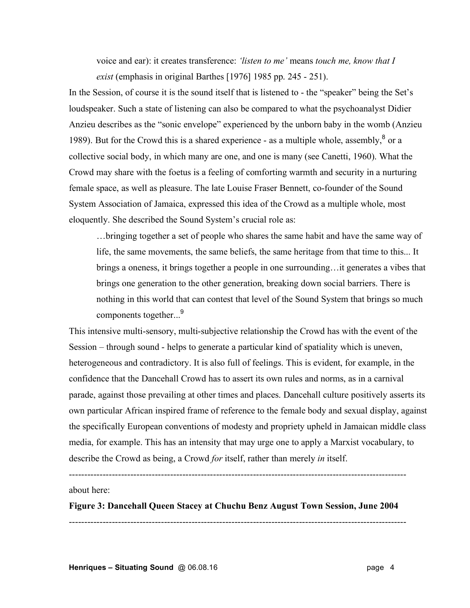voice and ear): it creates transference: *'listen to me'* means *touch me, know that I exist* (emphasis in original Barthes [1976] 1985 pp. 245 - 251).

In the Session, of course it is the sound itself that is listened to - the "speaker" being the Set's loudspeaker. Such a state of listening can also be compared to what the psychoanalyst Didier Anzieu describes as the "sonic envelope" experienced by the unborn baby in the womb (Anzieu 1989). But for the Crowd this is a shared experience - as a multiple whole, assembly, $8$  or a collective social body, in which many are one, and one is many (see Canetti, 1960). What the Crowd may share with the foetus is a feeling of comforting warmth and security in a nurturing female space, as well as pleasure. The late Louise Fraser Bennett, co-founder of the Sound System Association of Jamaica, expressed this idea of the Crowd as a multiple whole, most eloquently. She described the Sound System's crucial role as:

…bringing together a set of people who shares the same habit and have the same way of life, the same movements, the same beliefs, the same heritage from that time to this... It brings a oneness, it brings together a people in one surrounding…it generates a vibes that brings one generation to the other generation, breaking down social barriers. There is nothing in this world that can contest that level of the Sound System that brings so much components together...<sup>9</sup>

This intensive multi-sensory, multi-subjective relationship the Crowd has with the event of the Session – through sound - helps to generate a particular kind of spatiality which is uneven, heterogeneous and contradictory. It is also full of feelings. This is evident, for example, in the confidence that the Dancehall Crowd has to assert its own rules and norms, as in a carnival parade, against those prevailing at other times and places. Dancehall culture positively asserts its own particular African inspired frame of reference to the female body and sexual display, against the specifically European conventions of modesty and propriety upheld in Jamaican middle class media, for example. This has an intensity that may urge one to apply a Marxist vocabulary, to describe the Crowd as being, a Crowd *for* itself, rather than merely *in* itself.

--------------------------------------------------------------------------------------------------------------

about here:

**Figure 3: Dancehall Queen Stacey at Chuchu Benz August Town Session, June 2004**

--------------------------------------------------------------------------------------------------------------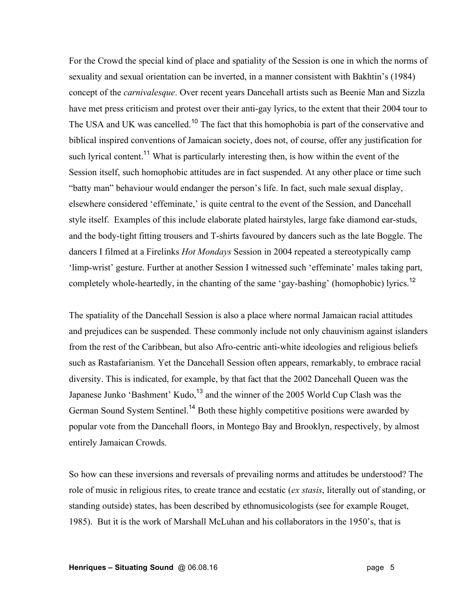For the Crowd the special kind of place and spatiality of the Session is one in which the norms of sexuality and sexual orientation can be inverted, in a manner consistent with Bakhtin's (1984) concept of the *carnivalesque*. Over recent years Dancehall artists such as Beenie Man and Sizzla have met press criticism and protest over their anti-gay lyrics, to the extent that their 2004 tour to The USA and UK was cancelled.<sup>10</sup> The fact that this homophobia is part of the conservative and biblical inspired conventions of Jamaican society, does not, of course, offer any justification for such lyrical content.<sup>11</sup> What is particularly interesting then, is how within the event of the Session itself, such homophobic attitudes are in fact suspended. At any other place or time such "batty man" behaviour would endanger the person's life. In fact, such male sexual display, elsewhere considered 'effeminate,' is quite central to the event of the Session, and Dancehall style itself. Examples of this include elaborate plated hairstyles, large fake diamond ear-studs, and the body-tight fitting trousers and T-shirts favoured by dancers such as the late Boggle. The dancers I filmed at a Firelinks *Hot Mondays* Session in 2004 repeated a stereotypically camp 'limp-wrist' gesture. Further at another Session I witnessed such 'effeminate' males taking part, completely whole-heartedly, in the chanting of the same 'gay-bashing' (homophobic) lyrics.<sup>12</sup>

The spatiality of the Dancehall Session is also a place where normal Jamaican racial attitudes and prejudices can be suspended. These commonly include not only chauvinism against islanders from the rest of the Caribbean, but also Afro-centric anti-white ideologies and religious beliefs such as Rastafarianism. Yet the Dancehall Session often appears, remarkably, to embrace racial diversity. This is indicated, for example, by that fact that the 2002 Dancehall Queen was the Japanese Junko 'Bashment' Kudo,<sup>13</sup> and the winner of the 2005 World Cup Clash was the German Sound System Sentinel.<sup>14</sup> Both these highly competitive positions were awarded by popular vote from the Dancehall floors, in Montego Bay and Brooklyn, respectively, by almost entirely Jamaican Crowds.

So how can these inversions and reversals of prevailing norms and attitudes be understood? The role of music in religious rites, to create trance and ecstatic (*ex stasis*, literally out of standing, or standing outside) states, has been described by ethnomusicologists (see for example Rouget, 1985). But it is the work of Marshall McLuhan and his collaborators in the 1950's, that is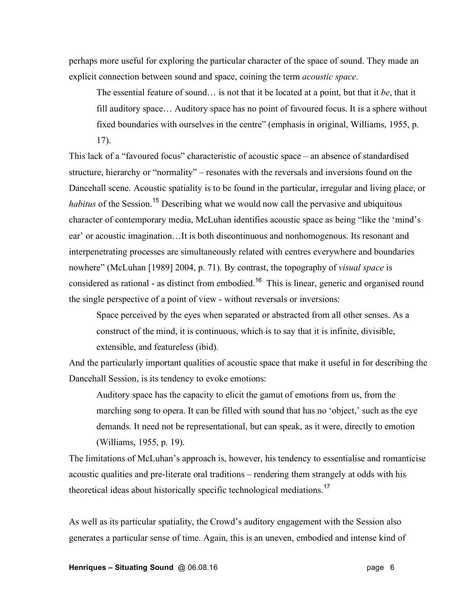perhaps more useful for exploring the particular character of the space of sound. They made an explicit connection between sound and space, coining the term *acoustic space*.

The essential feature of sound… is not that it be located at a point, but that it *be*, that it fill auditory space… Auditory space has no point of favoured focus. It is a sphere without fixed boundaries with ourselves in the centre" (emphasis in original, Williams, 1955, p. 17).

This lack of a "favoured focus" characteristic of acoustic space – an absence of standardised structure, hierarchy or "normality" – resonates with the reversals and inversions found on the Dancehall scene. Acoustic spatiality is to be found in the particular, irregular and living place, or *habitus* of the Session. <sup>15</sup> Describing what we would now call the pervasive and ubiquitous character of contemporary media, McLuhan identifies acoustic space as being "like the 'mind's ear' or acoustic imagination…It is both discontinuous and nonhomogenous. Its resonant and interpenetrating processes are simultaneously related with centres everywhere and boundaries nowhere" (McLuhan [1989] 2004, p. 71). By contrast, the topography of *visual space* is considered as rational - as distinct from embodied.<sup>16</sup> This is linear, generic and organised round the single perspective of a point of view - without reversals or inversions:

Space perceived by the eyes when separated or abstracted from all other senses. As a construct of the mind, it is continuous, which is to say that it is infinite, divisible, extensible, and featureless (ibid).

And the particularly important qualities of acoustic space that make it useful in for describing the Dancehall Session, is its tendency to evoke emotions:

Auditory space has the capacity to elicit the gamut of emotions from us, from the marching song to opera. It can be filled with sound that has no 'object,' such as the eye demands. It need not be representational, but can speak, as it were, directly to emotion (Williams, 1955, p. 19).

The limitations of McLuhan's approach is, however, his tendency to essentialise and romanticise acoustic qualities and pre-literate oral traditions – rendering them strangely at odds with his theoretical ideas about historically specific technological mediations.<sup>17</sup>

As well as its particular spatiality, the Crowd's auditory engagement with the Session also generates a particular sense of time. Again, this is an uneven, embodied and intense kind of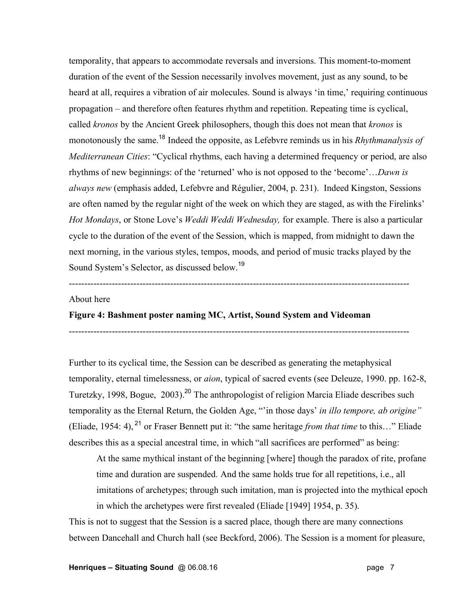temporality, that appears to accommodate reversals and inversions. This moment-to-moment duration of the event of the Session necessarily involves movement, just as any sound, to be heard at all, requires a vibration of air molecules. Sound is always 'in time,' requiring continuous propagation – and therefore often features rhythm and repetition. Repeating time is cyclical, called *kronos* by the Ancient Greek philosophers, though this does not mean that *kronos* is monotonously the same. <sup>18</sup> Indeed the opposite, as Lefebvre reminds us in his *Rhythmanalysis of Mediterranean Cities*: "Cyclical rhythms, each having a determined frequency or period, are also rhythms of new beginnings: of the 'returned' who is not opposed to the 'become'…*Dawn is always new* (emphasis added, Lefebvre and Régulier, 2004, p. 231). Indeed Kingston, Sessions are often named by the regular night of the week on which they are staged, as with the Firelinks' *Hot Mondays*, or Stone Love's *Weddi Weddi Wednesday,* for example. There is also a particular cycle to the duration of the event of the Session, which is mapped, from midnight to dawn the next morning, in the various styles, tempos, moods, and period of music tracks played by the Sound System's Selector, as discussed below.<sup>19</sup>

#### About here

# **Figure 4: Bashment poster naming MC, Artist, Sound System and Videoman**

---------------------------------------------------------------------------------------------------------------

---------------------------------------------------------------------------------------------------------------

Further to its cyclical time, the Session can be described as generating the metaphysical temporality, eternal timelessness, or *aion*, typical of sacred events (see Deleuze, 1990. pp. 162-8, Turetzky, 1998, Bogue, 2003).<sup>20</sup> The anthropologist of religion Marcia Eliade describes such temporality as the Eternal Return, the Golden Age, "'in those days' *in illo tempore, ab origine"* (Eliade, 1954: 4), <sup>21</sup> or Fraser Bennett put it: "the same heritage *from that time* to this…" Eliade describes this as a special ancestral time, in which "all sacrifices are performed" as being:

At the same mythical instant of the beginning [where] though the paradox of rite, profane time and duration are suspended. And the same holds true for all repetitions, i.e., all imitations of archetypes; through such imitation, man is projected into the mythical epoch in which the archetypes were first revealed (Eliade [1949] 1954, p. 35).

This is not to suggest that the Session is a sacred place, though there are many connections between Dancehall and Church hall (see Beckford, 2006). The Session is a moment for pleasure,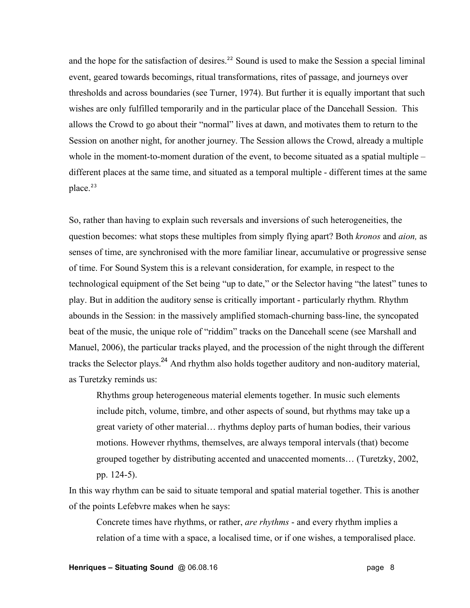and the hope for the satisfaction of desires.<sup>22</sup> Sound is used to make the Session a special liminal event, geared towards becomings, ritual transformations, rites of passage, and journeys over thresholds and across boundaries (see Turner, 1974). But further it is equally important that such wishes are only fulfilled temporarily and in the particular place of the Dancehall Session. This allows the Crowd to go about their "normal" lives at dawn, and motivates them to return to the Session on another night, for another journey. The Session allows the Crowd, already a multiple whole in the moment-to-moment duration of the event, to become situated as a spatial multiple – different places at the same time, and situated as a temporal multiple - different times at the same place. 23

So, rather than having to explain such reversals and inversions of such heterogeneities, the question becomes: what stops these multiples from simply flying apart? Both *kronos* and *aion,* as senses of time, are synchronised with the more familiar linear, accumulative or progressive sense of time. For Sound System this is a relevant consideration, for example, in respect to the technological equipment of the Set being "up to date," or the Selector having "the latest" tunes to play. But in addition the auditory sense is critically important - particularly rhythm. Rhythm abounds in the Session: in the massively amplified stomach-churning bass-line, the syncopated beat of the music, the unique role of "riddim" tracks on the Dancehall scene (see Marshall and Manuel, 2006), the particular tracks played, and the procession of the night through the different tracks the Selector plays.<sup>24</sup> And rhythm also holds together auditory and non-auditory material, as Turetzky reminds us:

Rhythms group heterogeneous material elements together. In music such elements include pitch, volume, timbre, and other aspects of sound, but rhythms may take up a great variety of other material… rhythms deploy parts of human bodies, their various motions. However rhythms, themselves, are always temporal intervals (that) become grouped together by distributing accented and unaccented moments… (Turetzky, 2002, pp. 124-5).

In this way rhythm can be said to situate temporal and spatial material together. This is another of the points Lefebvre makes when he says:

Concrete times have rhythms, or rather, *are rhythms* - and every rhythm implies a relation of a time with a space, a localised time, or if one wishes, a temporalised place.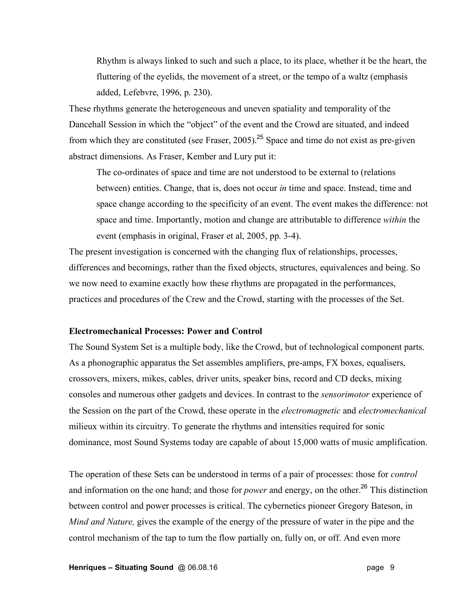Rhythm is always linked to such and such a place, to its place, whether it be the heart, the fluttering of the eyelids, the movement of a street, or the tempo of a waltz (emphasis added, Lefebvre, 1996, p. 230).

These rhythms generate the heterogeneous and uneven spatiality and temporality of the Dancehall Session in which the "object" of the event and the Crowd are situated, and indeed from which they are constituted (see Fraser, 2005).<sup>25</sup> Space and time do not exist as pre-given abstract dimensions. As Fraser, Kember and Lury put it:

The co-ordinates of space and time are not understood to be external to (relations between) entities. Change, that is, does not occur *in* time and space. Instead, time and space change according to the specificity of an event. The event makes the difference: not space and time. Importantly, motion and change are attributable to difference *within* the event (emphasis in original, Fraser et al, 2005, pp. 3-4).

The present investigation is concerned with the changing flux of relationships, processes, differences and becomings, rather than the fixed objects, structures, equivalences and being. So we now need to examine exactly how these rhythms are propagated in the performances, practices and procedures of the Crew and the Crowd, starting with the processes of the Set.

# **Electromechanical Processes: Power and Control**

The Sound System Set is a multiple body, like the Crowd, but of technological component parts. As a phonographic apparatus the Set assembles amplifiers, pre-amps, FX boxes, equalisers, crossovers, mixers, mikes, cables, driver units, speaker bins, record and CD decks, mixing consoles and numerous other gadgets and devices. In contrast to the *sensorimotor* experience of the Session on the part of the Crowd, these operate in the *electromagnetic* and *electromechanical* milieux within its circuitry. To generate the rhythms and intensities required for sonic dominance, most Sound Systems today are capable of about 15,000 watts of music amplification.

The operation of these Sets can be understood in terms of a pair of processes: those for *control* and information on the one hand; and those for *power* and energy, on the other. <sup>26</sup> This distinction between control and power processes is critical. The cybernetics pioneer Gregory Bateson, in *Mind and Nature,* gives the example of the energy of the pressure of water in the pipe and the control mechanism of the tap to turn the flow partially on, fully on, or off. And even more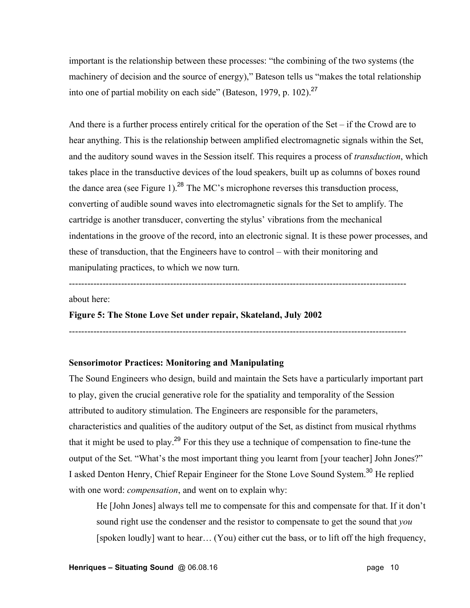important is the relationship between these processes: "the combining of the two systems (the machinery of decision and the source of energy)," Bateson tells us "makes the total relationship into one of partial mobility on each side" (Bateson, 1979, p. 102).<sup>27</sup>

And there is a further process entirely critical for the operation of the Set – if the Crowd are to hear anything. This is the relationship between amplified electromagnetic signals within the Set, and the auditory sound waves in the Session itself. This requires a process of *transduction*, which takes place in the transductive devices of the loud speakers, built up as columns of boxes round the dance area (see Figure 1).<sup>28</sup> The MC's microphone reverses this transduction process, converting of audible sound waves into electromagnetic signals for the Set to amplify. The cartridge is another transducer, converting the stylus' vibrations from the mechanical indentations in the groove of the record, into an electronic signal. It is these power processes, and these of transduction, that the Engineers have to control – with their monitoring and manipulating practices, to which we now turn.

about here:

## **Figure 5: The Stone Love Set under repair, Skateland, July 2002**

--------------------------------------------------------------------------------------------------------------

--------------------------------------------------------------------------------------------------------------

# **Sensorimotor Practices: Monitoring and Manipulating**

The Sound Engineers who design, build and maintain the Sets have a particularly important part to play, given the crucial generative role for the spatiality and temporality of the Session attributed to auditory stimulation. The Engineers are responsible for the parameters, characteristics and qualities of the auditory output of the Set, as distinct from musical rhythms that it might be used to play.<sup>29</sup> For this they use a technique of compensation to fine-tune the output of the Set. "What's the most important thing you learnt from [your teacher] John Jones?" I asked Denton Henry, Chief Repair Engineer for the Stone Love Sound System.<sup>30</sup> He replied with one word: *compensation*, and went on to explain why:

He [John Jones] always tell me to compensate for this and compensate for that. If it don't sound right use the condenser and the resistor to compensate to get the sound that *you* [spoken loudly] want to hear… (You) either cut the bass, or to lift off the high frequency,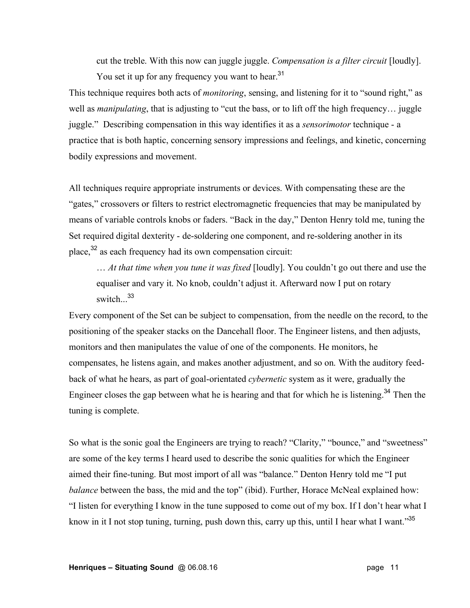cut the treble. With this now can juggle juggle. *Compensation is a filter circuit* [loudly]. You set it up for any frequency you want to hear.<sup>31</sup>

This technique requires both acts of *monitoring*, sensing, and listening for it to "sound right," as well as *manipulating*, that is adjusting to "cut the bass, or to lift off the high frequency... juggle juggle." Describing compensation in this way identifies it as a *sensorimotor* technique - a practice that is both haptic, concerning sensory impressions and feelings, and kinetic, concerning bodily expressions and movement.

All techniques require appropriate instruments or devices. With compensating these are the "gates," crossovers or filters to restrict electromagnetic frequencies that may be manipulated by means of variable controls knobs or faders. "Back in the day," Denton Henry told me, tuning the Set required digital dexterity - de-soldering one component, and re-soldering another in its place,<sup>32</sup> as each frequency had its own compensation circuit:

… *At that time when you tune it was fixed* [loudly]. You couldn't go out there and use the equaliser and vary it. No knob, couldn't adjust it. Afterward now I put on rotary switch... 33

Every component of the Set can be subject to compensation, from the needle on the record, to the positioning of the speaker stacks on the Dancehall floor. The Engineer listens, and then adjusts, monitors and then manipulates the value of one of the components. He monitors, he compensates, he listens again, and makes another adjustment, and so on. With the auditory feedback of what he hears, as part of goal-orientated *cybernetic* system as it were, gradually the Engineer closes the gap between what he is hearing and that for which he is listening.<sup>34</sup> Then the tuning is complete.

So what is the sonic goal the Engineers are trying to reach? "Clarity," "bounce," and "sweetness" are some of the key terms I heard used to describe the sonic qualities for which the Engineer aimed their fine-tuning. But most import of all was "balance." Denton Henry told me "I put *balance* between the bass, the mid and the top" (ibid). Further, Horace McNeal explained how: "I listen for everything I know in the tune supposed to come out of my box. If I don't hear what I know in it I not stop tuning, turning, push down this, carry up this, until I hear what I want."<sup>35</sup>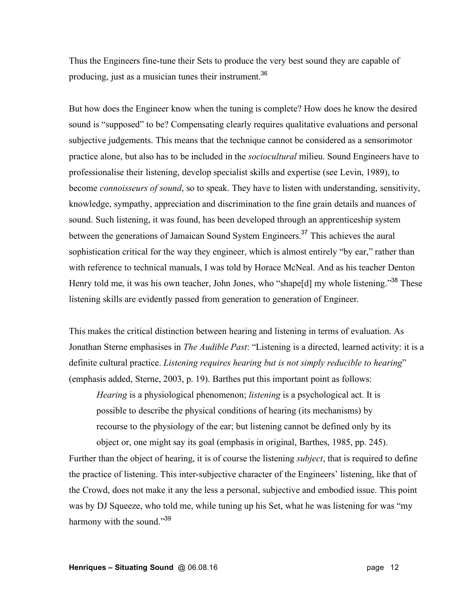Thus the Engineers fine-tune their Sets to produce the very best sound they are capable of producing, just as a musician tunes their instrument.<sup>36</sup>

But how does the Engineer know when the tuning is complete? How does he know the desired sound is "supposed" to be? Compensating clearly requires qualitative evaluations and personal subjective judgements. This means that the technique cannot be considered as a sensorimotor practice alone, but also has to be included in the *sociocultural* milieu. Sound Engineers have to professionalise their listening, develop specialist skills and expertise (see Levin, 1989), to become *connoisseurs of sound*, so to speak. They have to listen with understanding, sensitivity, knowledge, sympathy, appreciation and discrimination to the fine grain details and nuances of sound. Such listening, it was found, has been developed through an apprenticeship system between the generations of Jamaican Sound System Engineers.<sup>37</sup> This achieves the aural sophistication critical for the way they engineer, which is almost entirely "by ear," rather than with reference to technical manuals, I was told by Horace McNeal. And as his teacher Denton Henry told me, it was his own teacher, John Jones, who "shape[d] my whole listening."<sup>38</sup> These listening skills are evidently passed from generation to generation of Engineer.

This makes the critical distinction between hearing and listening in terms of evaluation. As Jonathan Sterne emphasises in *The Audible Past*: "Listening is a directed, learned activity: it is a definite cultural practice. *Listening requires hearing but is not simply reducible to hearing*" (emphasis added, Sterne, 2003, p. 19). Barthes put this important point as follows:

*Hearing* is a physiological phenomenon; *listening* is a psychological act. It is possible to describe the physical conditions of hearing (its mechanisms) by recourse to the physiology of the ear; but listening cannot be defined only by its object or, one might say its goal (emphasis in original, Barthes, 1985, pp. 245).

Further than the object of hearing, it is of course the listening *subject*, that is required to define the practice of listening. This inter-subjective character of the Engineers' listening, like that of the Crowd, does not make it any the less a personal, subjective and embodied issue. This point was by DJ Squeeze, who told me, while tuning up his Set, what he was listening for was "my harmony with the sound."39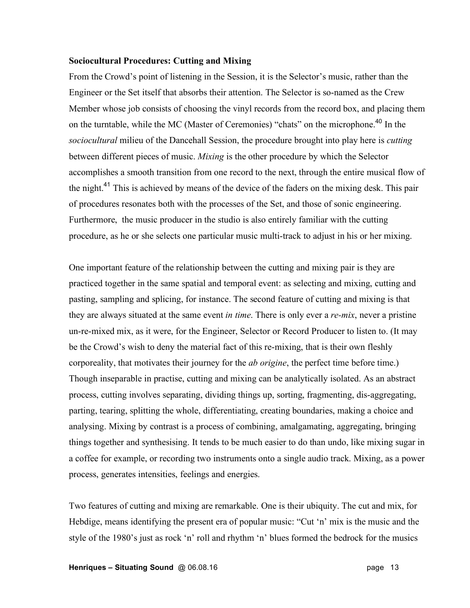# **Sociocultural Procedures: Cutting and Mixing**

From the Crowd's point of listening in the Session, it is the Selector's music, rather than the Engineer or the Set itself that absorbs their attention. The Selector is so-named as the Crew Member whose job consists of choosing the vinyl records from the record box, and placing them on the turntable, while the MC (Master of Ceremonies) "chats" on the microphone.<sup>40</sup> In the *sociocultural* milieu of the Dancehall Session, the procedure brought into play here is *cutting* between different pieces of music. *Mixing* is the other procedure by which the Selector accomplishes a smooth transition from one record to the next, through the entire musical flow of the night.<sup>41</sup> This is achieved by means of the device of the faders on the mixing desk. This pair of procedures resonates both with the processes of the Set, and those of sonic engineering. Furthermore, the music producer in the studio is also entirely familiar with the cutting procedure, as he or she selects one particular music multi-track to adjust in his or her mixing.

One important feature of the relationship between the cutting and mixing pair is they are practiced together in the same spatial and temporal event: as selecting and mixing, cutting and pasting, sampling and splicing, for instance. The second feature of cutting and mixing is that they are always situated at the same event *in time*. There is only ever a *re-mix*, never a pristine un-re-mixed mix, as it were, for the Engineer, Selector or Record Producer to listen to. (It may be the Crowd's wish to deny the material fact of this re-mixing, that is their own fleshly corporeality, that motivates their journey for the *ab origine*, the perfect time before time.) Though inseparable in practise, cutting and mixing can be analytically isolated. As an abstract process, cutting involves separating, dividing things up, sorting, fragmenting, dis-aggregating, parting, tearing, splitting the whole, differentiating, creating boundaries, making a choice and analysing. Mixing by contrast is a process of combining, amalgamating, aggregating, bringing things together and synthesising. It tends to be much easier to do than undo, like mixing sugar in a coffee for example, or recording two instruments onto a single audio track. Mixing, as a power process, generates intensities, feelings and energies.

Two features of cutting and mixing are remarkable. One is their ubiquity. The cut and mix, for Hebdige, means identifying the present era of popular music: "Cut 'n' mix is the music and the style of the 1980's just as rock 'n' roll and rhythm 'n' blues formed the bedrock for the musics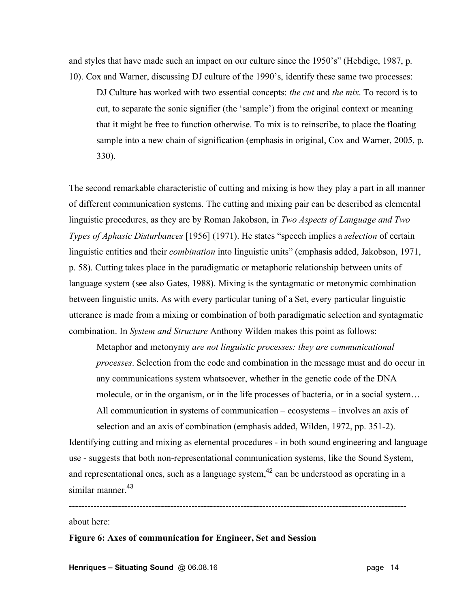and styles that have made such an impact on our culture since the 1950's" (Hebdige, 1987, p. 10). Cox and Warner, discussing DJ culture of the 1990's, identify these same two processes:

DJ Culture has worked with two essential concepts: *the cut* and *the mix*. To record is to cut, to separate the sonic signifier (the 'sample') from the original context or meaning that it might be free to function otherwise. To mix is to reinscribe, to place the floating sample into a new chain of signification (emphasis in original, Cox and Warner, 2005, p. 330).

The second remarkable characteristic of cutting and mixing is how they play a part in all manner of different communication systems. The cutting and mixing pair can be described as elemental linguistic procedures, as they are by Roman Jakobson, in *Two Aspects of Language and Two Types of Aphasic Disturbances* [1956] (1971). He states "speech implies a *selection* of certain linguistic entities and their *combination* into linguistic units" (emphasis added, Jakobson, 1971, p. 58). Cutting takes place in the paradigmatic or metaphoric relationship between units of language system (see also Gates, 1988). Mixing is the syntagmatic or metonymic combination between linguistic units. As with every particular tuning of a Set, every particular linguistic utterance is made from a mixing or combination of both paradigmatic selection and syntagmatic combination. In *System and Structure* Anthony Wilden makes this point as follows:

Metaphor and metonymy *are not linguistic processes: they are communicational processes*. Selection from the code and combination in the message must and do occur in any communications system whatsoever, whether in the genetic code of the DNA molecule, or in the organism, or in the life processes of bacteria, or in a social system… All communication in systems of communication – ecosystems – involves an axis of

selection and an axis of combination (emphasis added, Wilden, 1972, pp. 351-2). Identifying cutting and mixing as elemental procedures - in both sound engineering and language use - suggests that both non-representational communication systems, like the Sound System, and representational ones, such as a language system,<sup>42</sup> can be understood as operating in a similar manner. 43

--------------------------------------------------------------------------------------------------------------

about here:

#### **Figure 6: Axes of communication for Engineer, Set and Session**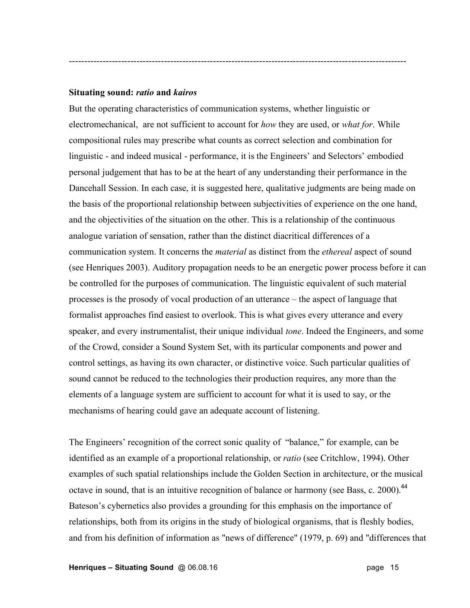### **Situating sound:** *ratio* **and** *kairos*

But the operating characteristics of communication systems, whether linguistic or electromechanical, are not sufficient to account for *how* they are used, or *what for*. While compositional rules may prescribe what counts as correct selection and combination for linguistic - and indeed musical - performance, it is the Engineers' and Selectors' embodied personal judgement that has to be at the heart of any understanding their performance in the Dancehall Session. In each case, it is suggested here, qualitative judgments are being made on the basis of the proportional relationship between subjectivities of experience on the one hand, and the objectivities of the situation on the other. This is a relationship of the continuous analogue variation of sensation, rather than the distinct diacritical differences of a communication system. It concerns the *material* as distinct from the *ethereal* aspect of sound (see Henriques 2003). Auditory propagation needs to be an energetic power process before it can be controlled for the purposes of communication. The linguistic equivalent of such material processes is the prosody of vocal production of an utterance – the aspect of language that formalist approaches find easiest to overlook. This is what gives every utterance and every speaker, and every instrumentalist, their unique individual *tone*. Indeed the Engineers, and some of the Crowd, consider a Sound System Set, with its particular components and power and control settings, as having its own character, or distinctive voice. Such particular qualities of sound cannot be reduced to the technologies their production requires, any more than the elements of a language system are sufficient to account for what it is used to say, or the mechanisms of hearing could gave an adequate account of listening.

--------------------------------------------------------------------------------------------------------------

The Engineers' recognition of the correct sonic quality of "balance," for example, can be identified as an example of a proportional relationship, or *ratio* (see Critchlow, 1994). Other examples of such spatial relationships include the Golden Section in architecture, or the musical octave in sound, that is an intuitive recognition of balance or harmony (see Bass, c. 2000).<sup>44</sup> Bateson's cybernetics also provides a grounding for this emphasis on the importance of relationships, both from its origins in the study of biological organisms, that is fleshly bodies, and from his definition of information as "news of difference" (1979, p. 69) and "differences that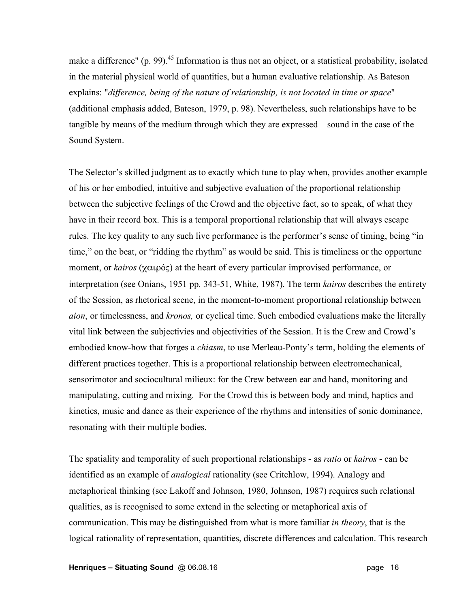make a difference" (p. 99).<sup>45</sup> Information is thus not an object, or a statistical probability, isolated in the material physical world of quantities, but a human evaluative relationship. As Bateson explains: "*difference, being of the nature of relationship, is not located in time or space*" (additional emphasis added, Bateson, 1979, p. 98). Nevertheless, such relationships have to be tangible by means of the medium through which they are expressed – sound in the case of the Sound System.

The Selector's skilled judgment as to exactly which tune to play when, provides another example of his or her embodied, intuitive and subjective evaluation of the proportional relationship between the subjective feelings of the Crowd and the objective fact, so to speak, of what they have in their record box. This is a temporal proportional relationship that will always escape rules. The key quality to any such live performance is the performer's sense of timing, being "in time," on the beat, or "ridding the rhythm" as would be said. This is timeliness or the opportune moment, or *kairos* (χαιρóς) at the heart of every particular improvised performance, or interpretation (see Onians, 1951 pp. 343-51, White, 1987). The term *kairos* describes the entirety of the Session, as rhetorical scene, in the moment-to-moment proportional relationship between *aion*, or timelessness, and *kronos,* or cyclical time. Such embodied evaluations make the literally vital link between the subjectivies and objectivities of the Session. It is the Crew and Crowd's embodied know-how that forges a *chiasm*, to use Merleau-Ponty's term, holding the elements of different practices together. This is a proportional relationship between electromechanical, sensorimotor and sociocultural milieux: for the Crew between ear and hand, monitoring and manipulating, cutting and mixing. For the Crowd this is between body and mind, haptics and kinetics, music and dance as their experience of the rhythms and intensities of sonic dominance, resonating with their multiple bodies.

The spatiality and temporality of such proportional relationships - as *ratio* or *kairos* - can be identified as an example of *analogical* rationality (see Critchlow, 1994). Analogy and metaphorical thinking (see Lakoff and Johnson, 1980, Johnson, 1987) requires such relational qualities, as is recognised to some extend in the selecting or metaphorical axis of communication. This may be distinguished from what is more familiar *in theory*, that is the logical rationality of representation, quantities, discrete differences and calculation. This research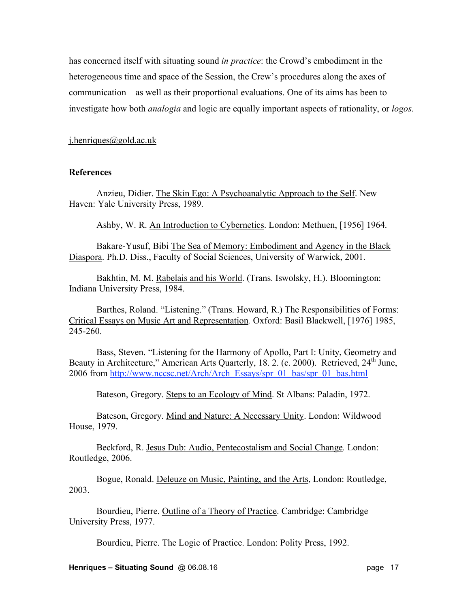has concerned itself with situating sound *in practice*: the Crowd's embodiment in the heterogeneous time and space of the Session, the Crew's procedures along the axes of communication – as well as their proportional evaluations. One of its aims has been to investigate how both *analogia* and logic are equally important aspects of rationality, or *logos*.

#### j.henriques@gold.ac.uk

#### **References**

Anzieu, Didier. The Skin Ego: A Psychoanalytic Approach to the Self. New Haven: Yale University Press, 1989.

Ashby, W. R. An Introduction to Cybernetics. London: Methuen, [1956] 1964.

Bakare-Yusuf, Bibi The Sea of Memory: Embodiment and Agency in the Black Diaspora. Ph.D. Diss., Faculty of Social Sciences, University of Warwick, 2001.

Bakhtin, M. M. Rabelais and his World. (Trans. Iswolsky, H.). Bloomington: Indiana University Press, 1984.

Barthes, Roland. "Listening." (Trans. Howard, R.) The Responsibilities of Forms: Critical Essays on Music Art and Representation*.* Oxford: Basil Blackwell, [1976] 1985, 245-260.

Bass, Steven. "Listening for the Harmony of Apollo, Part I: Unity, Geometry and Beauty in Architecture," American Arts Quarterly, 18. 2. (c. 2000). Retrieved, 24<sup>th</sup> June, 2006 from http://www.nccsc.net/Arch/Arch\_Essays/spr\_01\_bas/spr\_01\_bas.html

Bateson, Gregory. Steps to an Ecology of Mind. St Albans: Paladin, 1972.

Bateson, Gregory. Mind and Nature: A Necessary Unity. London: Wildwood House, 1979.

Beckford, R. Jesus Dub: Audio, Pentecostalism and Social Change*.* London: Routledge, 2006.

Bogue, Ronald. Deleuze on Music, Painting, and the Arts, London: Routledge, 2003.

Bourdieu, Pierre. Outline of a Theory of Practice. Cambridge: Cambridge University Press, 1977.

Bourdieu, Pierre. The Logic of Practice. London: Polity Press, 1992.

**Henriques – Situating Sound** @ 06.08.16 page 17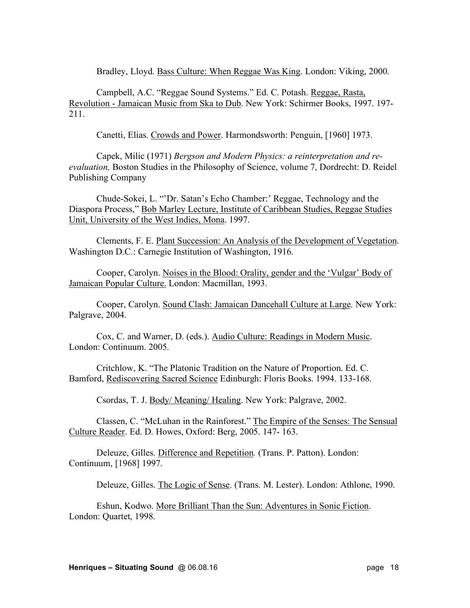Bradley, Lloyd. Bass Culture: When Reggae Was King. London: Viking, 2000.

Campbell, A.C. "Reggae Sound Systems." Ed. C. Potash. Reggae, Rasta, Revolution - Jamaican Music from Ska to Dub. New York: Schirmer Books, 1997. 197- 211.

Canetti, Elias. Crowds and Power. Harmondsworth: Penguin, [1960] 1973.

Capek, Milic (1971) *Bergson and Modern Physics: a reinterpretation and reevaluation,* Boston Studies in the Philosophy of Science, volume 7, Dordrecht: D. Reidel Publishing Company

Chude-Sokei, L. "'Dr. Satan's Echo Chamber:' Reggae, Technology and the Diaspora Process," Bob Marley Lecture, Institute of Caribbean Studies, Reggae Studies Unit, University of the West Indies, Mona. 1997.

Clements, F. E. Plant Succession: An Analysis of the Development of Vegetation. Washington D.C.: Carnegie Institution of Washington, 1916.

Cooper, Carolyn. Noises in the Blood: Orality, gender and the 'Vulgar' Body of Jamaican Popular Culture. London: Macmillan, 1993.

Cooper, Carolyn. Sound Clash: Jamaican Dancehall Culture at Large. New York: Palgrave, 2004.

Cox, C. and Warner, D. (eds.). Audio Culture: Readings in Modern Music. London: Continuum. 2005.

Critchlow, K. "The Platonic Tradition on the Nature of Proportion. Ed. C. Bamford, Rediscovering Sacred Science Edinburgh: Floris Books. 1994. 133-168.

Csordas, T. J. Body/ Meaning/ Healing. New York: Palgrave, 2002.

Classen, C. "McLuhan in the Rainforest." The Empire of the Senses: The Sensual Culture Reader. Ed. D. Howes, Oxford: Berg, 2005. 147- 163.

Deleuze, Gilles. Difference and Repetition*.* (Trans. P. Patton). London: Continuum, [1968] 1997.

Deleuze, Gilles. The Logic of Sense. (Trans. M. Lester). London: Athlone, 1990.

Eshun, Kodwo. More Brilliant Than the Sun: Adventures in Sonic Fiction. London: Quartet, 1998.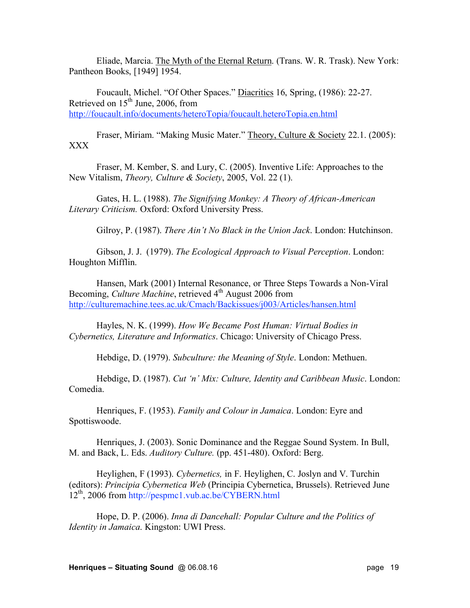Eliade, Marcia. The Myth of the Eternal Return. (Trans. W. R. Trask). New York: Pantheon Books, [1949] 1954.

Foucault, Michel. "Of Other Spaces." Diacritics 16, Spring, (1986): 22-27. Retrieved on  $15<sup>th</sup>$  June, 2006, from http://foucault.info/documents/heteroTopia/foucault.heteroTopia.en.html

Fraser, Miriam. "Making Music Mater." Theory, Culture & Society 22.1. (2005): XXX

Fraser, M. Kember, S. and Lury, C. (2005). Inventive Life: Approaches to the New Vitalism, *Theory, Culture & Society*, 2005, Vol. 22 (1).

Gates, H. L. (1988). *The Signifying Monkey: A Theory of African-American Literary Criticism.* Oxford: Oxford University Press.

Gilroy, P. (1987). *There Ain't No Black in the Union Jack*. London: Hutchinson.

Gibson, J. J. (1979). *The Ecological Approach to Visual Perception*. London: Houghton Mifflin.

Hansen, Mark (2001) Internal Resonance, or Three Steps Towards a Non-Viral Becoming, *Culture Machine*, retrieved 4<sup>th</sup> August 2006 from http://culturemachine.tees.ac.uk/Cmach/Backissues/j003/Articles/hansen.html

Hayles, N. K. (1999). *How We Became Post Human: Virtual Bodies in Cybernetics, Literature and Informatics*. Chicago: University of Chicago Press.

Hebdige, D. (1979). *Subculture: the Meaning of Style*. London: Methuen.

Hebdige, D. (1987). *Cut 'n' Mix: Culture, Identity and Caribbean Music*. London: Comedia.

Henriques, F. (1953). *Family and Colour in Jamaica*. London: Eyre and Spottiswoode.

Henriques, J. (2003). Sonic Dominance and the Reggae Sound System. In Bull, M. and Back, L. Eds. *Auditory Culture.* (pp. 451-480). Oxford: Berg.

Heylighen, F (1993). *Cybernetics,* in F. Heylighen, C. Joslyn and V. Turchin (editors): *Principia Cybernetica Web* (Principia Cybernetica, Brussels). Retrieved June 12<sup>th</sup>, 2006 from http://pespmc1.vub.ac.be/CYBERN.html

Hope, D. P. (2006). *Inna di Dancehall: Popular Culture and the Politics of Identity in Jamaica*. Kingston: UWI Press.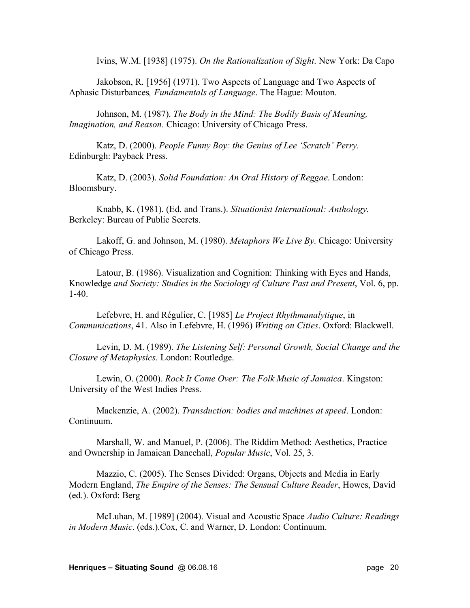Ivins, W.M. [1938] (1975). *On the Rationalization of Sight*. New York: Da Capo

Jakobson, R. [1956] (1971). Two Aspects of Language and Two Aspects of Aphasic Disturbances*, Fundamentals of Language*. The Hague: Mouton.

Johnson, M. (1987). *The Body in the Mind: The Bodily Basis of Meaning, Imagination, and Reason*. Chicago: University of Chicago Press.

Katz, D. (2000). *People Funny Boy: the Genius of Lee 'Scratch' Perry*. Edinburgh: Payback Press.

Katz, D. (2003). *Solid Foundation: An Oral History of Reggae*. London: Bloomsbury.

Knabb, K. (1981). (Ed. and Trans.). *Situationist International: Anthology*. Berkeley: Bureau of Public Secrets.

Lakoff, G. and Johnson, M. (1980). *Metaphors We Live By*. Chicago: University of Chicago Press.

Latour, B. (1986). Visualization and Cognition: Thinking with Eyes and Hands, Knowledge *and Society: Studies in the Sociology of Culture Past and Present*, Vol. 6, pp. 1-40.

Lefebvre, H. and Régulier, C. [1985] *Le Project Rhythmanalytique*, in *Communications*, 41. Also in Lefebvre, H. (1996) *Writing on Cities*. Oxford: Blackwell.

Levin, D. M. (1989). *The Listening Self: Personal Growth, Social Change and the Closure of Metaphysics*. London: Routledge.

Lewin, O. (2000). *Rock It Come Over: The Folk Music of Jamaica*. Kingston: University of the West Indies Press.

Mackenzie, A. (2002). *Transduction: bodies and machines at speed*. London: Continuum.

Marshall, W. and Manuel, P. (2006). The Riddim Method: Aesthetics, Practice and Ownership in Jamaican Dancehall, *Popular Music*, Vol. 25, 3.

Mazzio, C. (2005). The Senses Divided: Organs, Objects and Media in Early Modern England, *The Empire of the Senses: The Sensual Culture Reader*, Howes, David (ed.). Oxford: Berg

McLuhan, M. [1989] (2004). Visual and Acoustic Space *Audio Culture: Readings in Modern Music*. (eds.).Cox, C. and Warner, D. London: Continuum.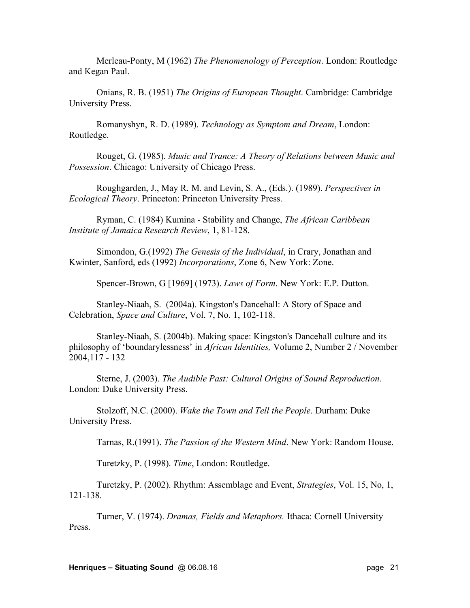Merleau-Ponty, M (1962) *The Phenomenology of Perception*. London: Routledge and Kegan Paul.

Onians, R. B. (1951) *The Origins of European Thought*. Cambridge: Cambridge University Press.

Romanyshyn, R. D. (1989). *Technology as Symptom and Dream*, London: Routledge.

Rouget, G. (1985). *Music and Trance: A Theory of Relations between Music and Possession*. Chicago: University of Chicago Press.

Roughgarden, J., May R. M. and Levin, S. A., (Eds.). (1989). *Perspectives in Ecological Theory*. Princeton: Princeton University Press.

Ryman, C. (1984) Kumina - Stability and Change, *The African Caribbean Institute of Jamaica Research Review*, 1, 81-128.

Simondon, G.(1992) *The Genesis of the Individual*, in Crary, Jonathan and Kwinter, Sanford, eds (1992) *Incorporations*, Zone 6, New York: Zone.

Spencer-Brown, G [1969] (1973). *Laws of Form*. New York: E.P. Dutton.

Stanley-Niaah, S. (2004a). Kingston's Dancehall: A Story of Space and Celebration, *Space and Culture*, Vol. 7, No. 1, 102-118.

Stanley-Niaah, S. (2004b). Making space: Kingston's Dancehall culture and its philosophy of 'boundarylessness' in *African Identities,* Volume 2, Number 2 / November 2004,117 - 132

Sterne, J. (2003). *The Audible Past: Cultural Origins of Sound Reproduction*. London: Duke University Press.

Stolzoff, N.C. (2000). *Wake the Town and Tell the People*. Durham: Duke University Press.

Tarnas, R.(1991). *The Passion of the Western Mind*. New York: Random House.

Turetzky, P. (1998). *Time*, London: Routledge.

Turetzky, P. (2002). Rhythm: Assemblage and Event, *Strategies*, Vol. 15, No, 1, 121-138.

Turner, V. (1974). *Dramas, Fields and Metaphors.* Ithaca: Cornell University Press.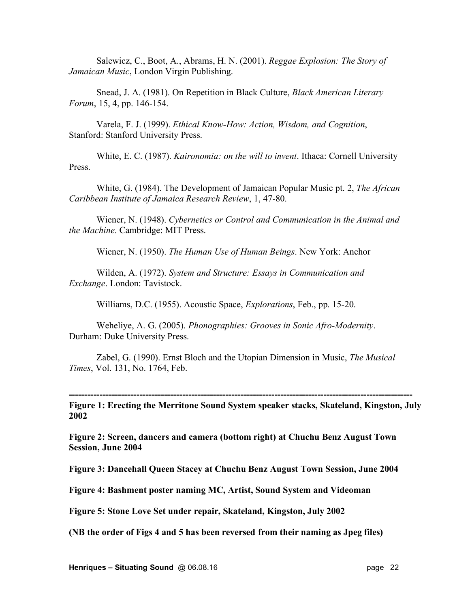Salewicz, C., Boot, A., Abrams, H. N. (2001). *Reggae Explosion: The Story of Jamaican Music*, London Virgin Publishing.

Snead, J. A. (1981). On Repetition in Black Culture, *Black American Literary Forum*, 15, 4, pp. 146-154.

Varela, F. J. (1999). *Ethical Know-How: Action, Wisdom, and Cognition*, Stanford: Stanford University Press.

White, E. C. (1987). *Kaironomia: on the will to invent*. Ithaca: Cornell University Press.

White, G. (1984). The Development of Jamaican Popular Music pt. 2, *The African Caribbean Institute of Jamaica Research Review*, 1, 47-80.

Wiener, N. (1948). *Cybernetics or Control and Communication in the Animal and the Machine*. Cambridge: MIT Press.

Wiener, N. (1950). *The Human Use of Human Beings*. New York: Anchor

Wilden, A. (1972). *System and Structure: Essays in Communication and Exchange*. London: Tavistock.

Williams, D.C. (1955). Acoustic Space, *Explorations*, Feb., pp. 15-20.

Weheliye, A. G. (2005). *Phonographies: Grooves in Sonic Afro-Modernity*. Durham: Duke University Press.

Zabel, G. (1990). Ernst Bloch and the Utopian Dimension in Music, *The Musical Times*, Vol. 131, No. 1764, Feb.

**Figure 1: Erecting the Merritone Sound System speaker stacks, Skateland, Kingston, July 2002** 

**----------------------------------------------------------------------------------------------------------------**

**Figure 2: Screen, dancers and camera (bottom right) at Chuchu Benz August Town Session, June 2004**

**Figure 3: Dancehall Queen Stacey at Chuchu Benz August Town Session, June 2004**

**Figure 4: Bashment poster naming MC, Artist, Sound System and Videoman**

**Figure 5: Stone Love Set under repair, Skateland, Kingston, July 2002** 

**(NB the order of Figs 4 and 5 has been reversed from their naming as Jpeg files)**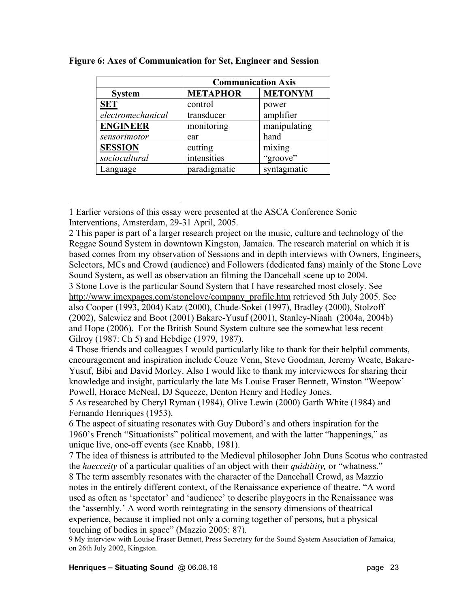|                   | <b>Communication Axis</b> |                |
|-------------------|---------------------------|----------------|
| <b>System</b>     | <b>METAPHOR</b>           | <b>METONYM</b> |
| <b>SET</b>        | control                   | power          |
| electromechanical | transducer                | amplifier      |
| <b>ENGINEER</b>   | monitoring                | manipulating   |
| sensorimotor      | ear                       | hand           |
| <b>SESSION</b>    | cutting                   | mixing         |
| sociocultural     | intensities               | "groove"       |
| Language          | paradigmatic              | syntagmatic    |

# **Figure 6: Axes of Communication for Set, Engineer and Session**

1 Earlier versions of this essay were presented at the ASCA Conference Sonic Interventions, Amsterdam, 29-31 April, 2005.

2 This paper is part of a larger research project on the music, culture and technology of the Reggae Sound System in downtown Kingston, Jamaica. The research material on which it is based comes from my observation of Sessions and in depth interviews with Owners, Engineers, Selectors, MCs and Crowd (audience) and Followers (dedicated fans) mainly of the Stone Love Sound System, as well as observation an filming the Dancehall scene up to 2004. 3 Stone Love is the particular Sound System that I have researched most closely. See http://www.imexpages.com/stonelove/company\_profile.htm retrieved 5th July 2005. See also Cooper (1993, 2004) Katz (2000), Chude-Sokei (1997), Bradley (2000), Stolzoff (2002), Salewicz and Boot (2001) Bakare-Yusuf (2001), Stanley-Niaah (2004a, 2004b) and Hope (2006). For the British Sound System culture see the somewhat less recent Gilroy (1987: Ch 5) and Hebdige (1979, 1987).

4 Those friends and colleagues I would particularly like to thank for their helpful comments, encouragement and inspiration include Couze Venn, Steve Goodman, Jeremy Weate, Bakare-Yusuf, Bibi and David Morley. Also I would like to thank my interviewees for sharing their knowledge and insight, particularly the late Ms Louise Fraser Bennett, Winston "Weepow' Powell, Horace McNeal, DJ Squeeze, Denton Henry and Hedley Jones.

5 As researched by Cheryl Ryman (1984), Olive Lewin (2000) Garth White (1984) and Fernando Henriques (1953).

6 The aspect of situating resonates with Guy Dubord's and others inspiration for the 1960's French "Situationists" political movement, and with the latter "happenings," as unique live, one-off events (see Knabb, 1981).

7 The idea of thisness is attributed to the Medieval philosopher John Duns Scotus who contrasted the *haecceity* of a particular qualities of an object with their *quidtitity,* or "whatness." 8 The term assembly resonates with the character of the Dancehall Crowd, as Mazzio notes in the entirely different context, of the Renaissance experience of theatre. "A word used as often as 'spectator' and 'audience' to describe playgoers in the Renaissance was the 'assembly.' A word worth reintegrating in the sensory dimensions of theatrical experience, because it implied not only a coming together of persons, but a physical touching of bodies in space" (Mazzio 2005: 87).

9 My interview with Louise Fraser Bennett, Press Secretary for the Sound System Association of Jamaica, on 26th July 2002, Kingston.

l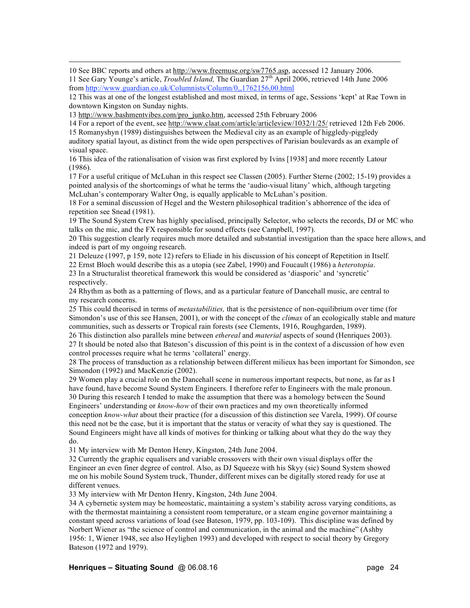10 See BBC reports and others at http://www.freemuse.org/sw7765.asp, accessed 12 January 2006.

11 See Gary Younge's article, *Troubled Island,* The Guardian 27th April 2006, retrieved 14th June 2006 from http://www.guardian.co.uk/Columnists/Column/0,,1762156,00.html

12 This was at one of the longest established and most mixed, in terms of age, Sessions 'kept' at Rae Town in downtown Kingston on Sunday nights.

13 http://www.bashmentvibes.com/pro\_junko.htm, accessed 25th February 2006

14 For a report of the event, see http://www.claat.com/article/articleview/1032/1/25/ retrieved 12th Feb 2006. 15 Romanyshyn (1989) distinguishes between the Medieval city as an example of higgledy-piggledy auditory spatial layout, as distinct from the wide open perspectives of Parisian boulevards as an example of

visual space. 16 This idea of the rationalisation of vision was first explored by Ivins [1938] and more recently Latour (1986).

17 For a useful critique of McLuhan in this respect see Classen (2005). Further Sterne (2002; 15-19) provides a pointed analysis of the shortcomings of what he terms the 'audio-visual litany' which, although targeting McLuhan's contemporary Walter Ong, is equally applicable to McLuhan's position.

18 For a seminal discussion of Hegel and the Western philosophical tradition's abhorrence of the idea of repetition see Snead (1981).

19 The Sound System Crew has highly specialised, principally Selector, who selects the records, DJ or MC who talks on the mic, and the FX responsible for sound effects (see Campbell, 1997).

20 This suggestion clearly requires much more detailed and substantial investigation than the space here allows, and indeed is part of my ongoing research.

21 Deleuze (1997, p 159, note 12) refers to Eliade in his discussion of his concept of Repetition in Itself*.*

22 Ernst Bloch would describe this as a utopia (see Zabel, 1990) and Foucault (1986) a *heterotopia*. 23 In a Structuralist theoretical framework this would be considered as 'diasporic' and 'syncretic'

respectively.

 $\overline{a}$ 

24 Rhythm as both as a patterning of flows, and as a particular feature of Dancehall music, are central to my research concerns.

25 This could theorised in terms of *metastabilities,* that is the persistence of non-equilibrium over time (for Simondon's use of this see Hansen, 2001), or with the concept of the *climax* of an ecologically stable and mature communities, such as desserts or Tropical rain forests (see Clements, 1916, Roughgarden, 1989).

26 This distinction also parallels mine between *ethereal* and *material* aspects of sound (Henriques 2003). 27 It should be noted also that Bateson's discussion of this point is in the context of a discussion of how even control processes require what he terms 'collateral' energy.

28 The process of transduction as a relationship between different milieux has been important for Simondon, see Simondon (1992) and MacKenzie (2002).

29 Women play a crucial role on the Dancehall scene in numerous important respects, but none, as far as I have found, have become Sound System Engineers. I therefore refer to Engineers with the male pronoun. 30 During this research I tended to make the assumption that there was a homology between the Sound Engineers' understanding or *know-how* of their own practices and my own theoretically informed conception *know-what* about their practice (for a discussion of this distinction see Varela, 1999). Of course this need not be the case, but it is important that the status or veracity of what they say is questioned. The Sound Engineers might have all kinds of motives for thinking or talking about what they do the way they do.

31 My interview with Mr Denton Henry, Kingston, 24th June 2004.

32 Currently the graphic equalisers and variable crossovers with their own visual displays offer the Engineer an even finer degree of control. Also, as DJ Squeeze with his Skyy (sic) Sound System showed me on his mobile Sound System truck, Thunder, different mixes can be digitally stored ready for use at different venues.

33 My interview with Mr Denton Henry, Kingston, 24th June 2004.

34 A cybernetic system may be homeostatic, maintaining a system's stability across varying conditions, as with the thermostat maintaining a consistent room temperature, or a steam engine governor maintaining a constant speed across variations of load (see Bateson, 1979, pp. 103-109). This discipline was defined by Norbert Wiener as "the science of control and communication, in the animal and the machine" (Ashby 1956: 1, Wiener 1948, see also Heylighen 1993) and developed with respect to social theory by Gregory Bateson (1972 and 1979).